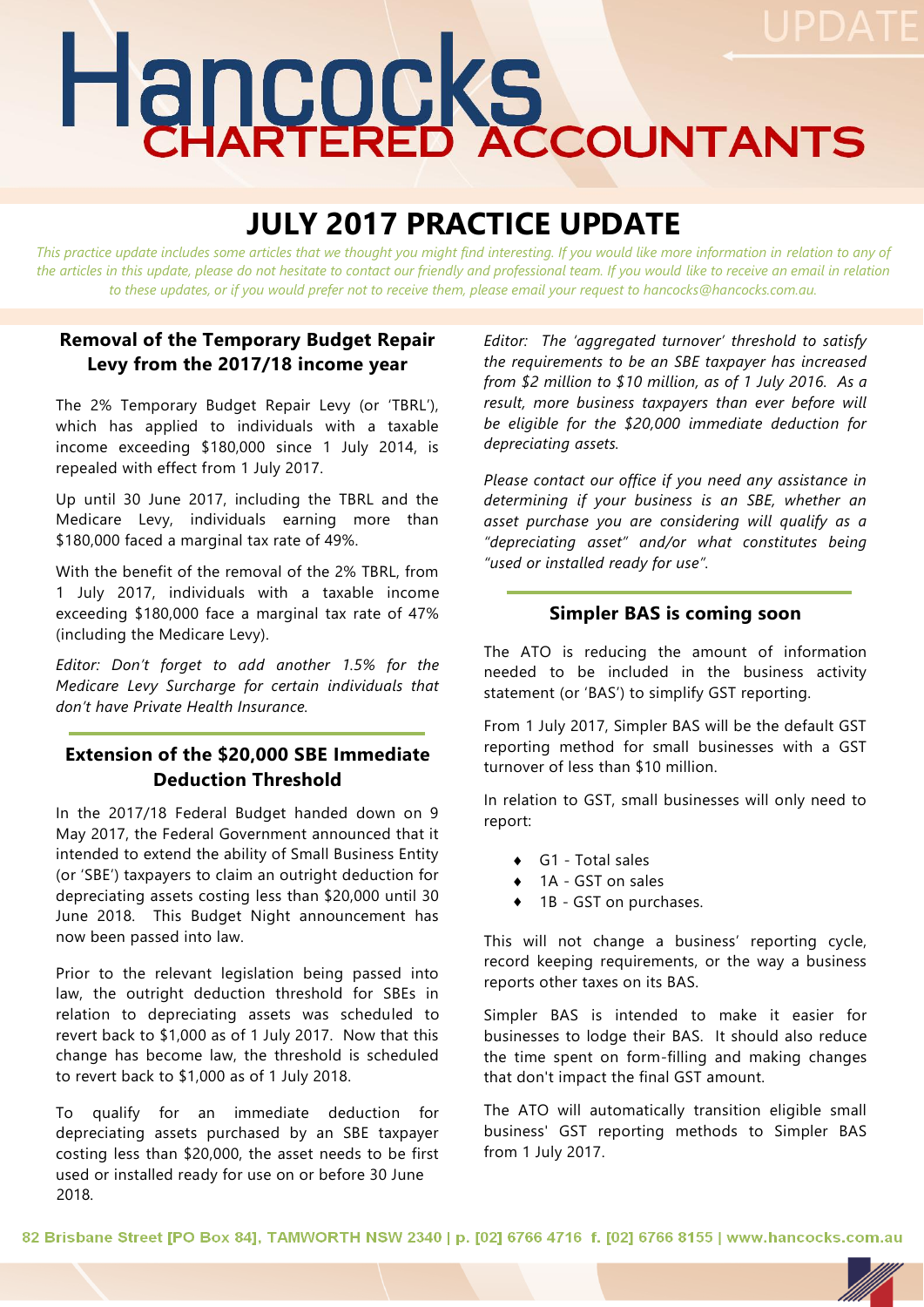# Hancocks

# **JULY 2017 PRACTICE UPDATE**

*This practice update includes some articles that we thought you might find interesting. If you would like more information in relation to any of the articles in this update, please do not hesitate to contact our friendly and professional team. If you would like to receive an email in relation to these updates, or if you would prefer not to receive them, please email your request to hancocks@hancocks.com.au.* 

#### **Removal of the Temporary Budget Repair Levy from the 2017/18 income year**

The 2% Temporary Budget Repair Levy (or 'TBRL'), which has applied to individuals with a taxable income exceeding \$180,000 since 1 July 2014, is repealed with effect from 1 July 2017.

Up until 30 June 2017, including the TBRL and the Medicare Levy, individuals earning more than \$180,000 faced a marginal tax rate of 49%.

With the benefit of the removal of the 2% TBRL, from 1 July 2017, individuals with a taxable income exceeding \$180,000 face a marginal tax rate of 47% (including the Medicare Levy).

*Editor: Don't forget to add another 1.5% for the Medicare Levy Surcharge for certain individuals that don't have Private Health Insurance.*

## **Extension of the \$20,000 SBE Immediate Deduction Threshold**

In the 2017/18 Federal Budget handed down on 9 May 2017, the Federal Government announced that it intended to extend the ability of Small Business Entity (or 'SBE') taxpayers to claim an outright deduction for depreciating assets costing less than \$20,000 until 30 June 2018. This Budget Night announcement has now been passed into law.

Prior to the relevant legislation being passed into law, the outright deduction threshold for SBEs in relation to depreciating assets was scheduled to revert back to \$1,000 as of 1 July 2017. Now that this change has become law, the threshold is scheduled to revert back to \$1,000 as of 1 July 2018.

To qualify for an immediate deduction for depreciating assets purchased by an SBE taxpayer costing less than \$20,000, the asset needs to be first used or installed ready for use on or before 30 June 2018.

*Editor: The 'aggregated turnover' threshold to satisfy the requirements to be an SBE taxpayer has increased from \$2 million to \$10 million, as of 1 July 2016. As a result, more business taxpayers than ever before will be eligible for the \$20,000 immediate deduction for depreciating assets.* 

*Please contact our office if you need any assistance in determining if your business is an SBE, whether an asset purchase you are considering will qualify as a "depreciating asset" and/or what constitutes being "used or installed ready for use".*

#### **Simpler BAS is coming soon**

The ATO is reducing the amount of information needed to be included in the business activity statement (or 'BAS') to simplify GST reporting.

From 1 July 2017, Simpler BAS will be the default GST reporting method for small businesses with a GST turnover of less than \$10 million.

In relation to GST, small businesses will only need to report:

- ◆ G1 Total sales
- 1A GST on sales
- ◆ 1B GST on purchases.

This will not change a business' reporting cycle, record keeping requirements, or the way a business reports other taxes on its BAS.

Simpler BAS is intended to make it easier for businesses to lodge their BAS. It should also reduce the time spent on form-filling and making changes that don't impact the final GST amount.

The ATO will automatically transition eligible small business' GST reporting methods to Simpler BAS from 1 July 2017.

82 Brisbane Street [PO Box 84], TAMWORTH NSW 2340 | p. [02] 6766 4716 f. [02] 6766 8155 | www.hancocks.com.au